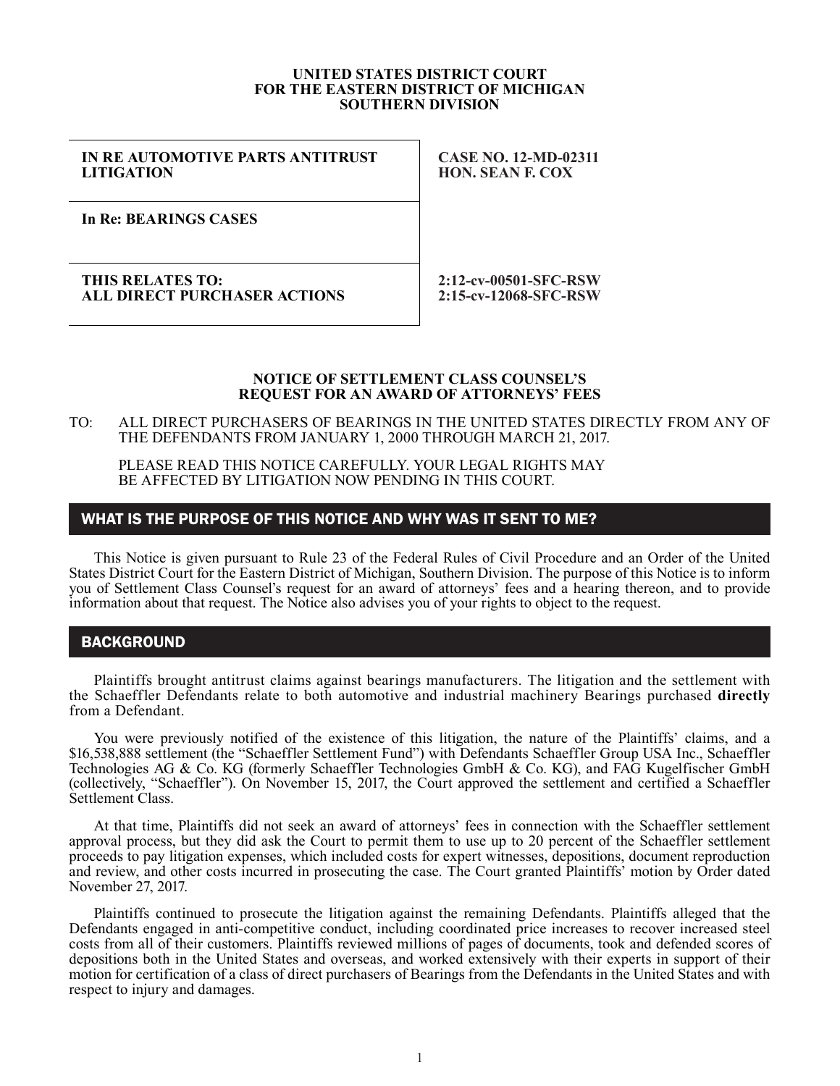#### **UNITED STATES DISTRICT COURT FOR THE EASTERN DISTRICT OF MICHIGAN SOUTHERN DIVISION**

## **IN RE AUTOMOTIVE PARTS ANTITRUST LITIGATION**

**CASE NO. 12-MD-02311 HON. SEAN F. COX**

**In Re: BEARINGS CASES**

#### **THIS RELATES TO: ALL DIRECT PURCHASER ACTIONS**

**2:12-cv-00501-SFC-RSW 2:15-cv-12068-SFC-RSW**

#### **NOTICE OF SETTLEMENT CLASS COUNSEL'S REQUEST FOR AN AWARD OF ATTORNEYS' FEES**

### TO: ALL DIRECT PURCHASERS OF BEARINGS IN THE UNITED STATES DIRECTLY FROM ANY OF THE DEFENDANTS FROM JANUARY 1, 2000 THROUGH MARCH 21, 2017.

PLEASE READ THIS NOTICE CAREFULLY. YOUR LEGAL RIGHTS MAY BE AFFECTED BY LITIGATION NOW PENDING IN THIS COURT.

# WHAT IS THE PURPOSE OF THIS NOTICE AND WHY WAS IT SENT TO ME?

This Notice is given pursuant to Rule 23 of the Federal Rules of Civil Procedure and an Order of the United States District Court for the Eastern District of Michigan, Southern Division. The purpose of this Notice is to inform you of Settlement Class Counsel's request for an award of attorneys' fees and a hearing thereon, and to provide information about that request. The Notice also advises you of your rights to object to the request.

# **BACKGROUND**

Plaintiffs brought antitrust claims against bearings manufacturers. The litigation and the settlement with the Schaeffler Defendants relate to both automotive and industrial machinery Bearings purchased **directly** from a Defendant.

You were previously notified of the existence of this litigation, the nature of the Plaintiffs' claims, and a \$16,538,888 settlement (the "Schaeffler Settlement Fund") with Defendants Schaeffler Group USA Inc., Schaeffler Technologies AG & Co. KG (formerly Schaeffler Technologies GmbH & Co. KG), and FAG Kugelfischer GmbH (collectively, "Schaeffler"). On November 15, 2017, the Court approved the settlement and certified a Schaeffler Settlement Class.

At that time, Plaintiffs did not seek an award of attorneys' fees in connection with the Schaeffler settlement approval process, but they did ask the Court to permit them to use up to 20 percent of the Schaeffler settlement proceeds to pay litigation expenses, which included costs for expert witnesses, depositions, document reproduction and review, and other costs incurred in prosecuting the case. The Court granted Plaintiffs' motion by Order dated November 27, 2017.

Plaintiffs continued to prosecute the litigation against the remaining Defendants. Plaintiffs alleged that the Defendants engaged in anti-competitive conduct, including coordinated price increases to recover increased steel costs from all of their customers. Plaintiffs reviewed millions of pages of documents, took and defended scores of depositions both in the United States and overseas, and worked extensively with their experts in support of their motion for certification of a class of direct purchasers of Bearings from the Defendants in the United States and with respect to injury and damages.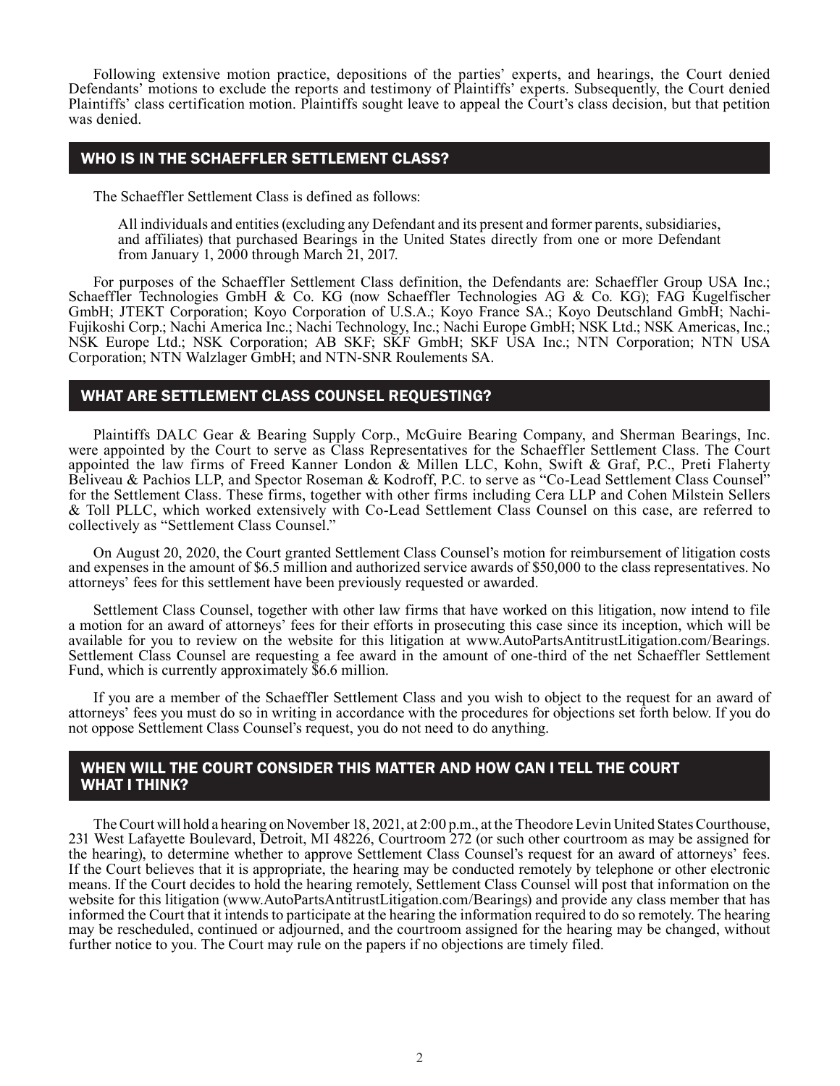Following extensive motion practice, depositions of the parties' experts, and hearings, the Court denied Defendants' motions to exclude the reports and testimony of Plaintiffs' experts. Subsequently, the Court denied Plaintiffs' class certification motion. Plaintiffs sought leave to appeal the Court's class decision, but that petition was denied.

# WHO IS IN THE SCHAEFFLER SETTLEMENT CLASS?

The Schaeffler Settlement Class is defined as follows:

All individuals and entities (excluding any Defendant and its present and former parents, subsidiaries, and affiliates) that purchased Bearings in the United States directly from one or more Defendant from January 1, 2000 through March 21, 2017.

For purposes of the Schaeffler Settlement Class definition, the Defendants are: Schaeffler Group USA Inc.; Schaeffler Technologies GmbH & Co. KG (now Schaeffler Technologies AG & Co. KG); FAG Kugelfischer GmbH; JTEKT Corporation; Koyo Corporation of U.S.A.; Koyo France SA.; Koyo Deutschland GmbH; Nachi-Fujikoshi Corp.; Nachi America Inc.; Nachi Technology, Inc.; Nachi Europe GmbH; NSK Ltd.; NSK Americas, Inc.; NSK Europe Ltd.; NSK Corporation; AB SKF; SKF GmbH; SKF USA Inc.; NTN Corporation; NTN USA Corporation; NTN Walzlager GmbH; and NTN-SNR Roulements SA.

## WHAT ARE SETTLEMENT CLASS COUNSEL REQUESTING?

Plaintiffs DALC Gear & Bearing Supply Corp., McGuire Bearing Company, and Sherman Bearings, Inc. were appointed by the Court to serve as Class Representatives for the Schaeffler Settlement Class. The Court appointed the law firms of Freed Kanner London & Millen LLC, Kohn, Swift & Graf, P.C., Preti Flaherty Beliveau & Pachios LLP, and Spector Roseman & Kodroff, P.C. to serve as "Co-Lead Settlement Class Counsel" for the Settlement Class. These firms, together with other firms including Cera LLP and Cohen Milstein Sellers & Toll PLLC, which worked extensively with Co-Lead Settlement Class Counsel on this case, are referred to collectively as "Settlement Class Counsel."

On August 20, 2020, the Court granted Settlement Class Counsel's motion for reimbursement of litigation costs and expenses in the amount of \$6.5 million and authorized service awards of \$50,000 to the class representatives. No attorneys' fees for this settlement have been previously requested or awarded.

Settlement Class Counsel, together with other law firms that have worked on this litigation, now intend to file a motion for an award of attorneys' fees for their efforts in prosecuting this case since its inception, which will be available for you to review on the website for this litigation at www.AutoPartsAntitrustLitigation.com/Bearings. Settlement Class Counsel are requesting a fee award in the amount of one-third of the net Schaeffler Settlement Fund, which is currently approximately \$6.6 million.

If you are a member of the Schaeffler Settlement Class and you wish to object to the request for an award of attorneys' fees you must do so in writing in accordance with the procedures for objections set forth below. If you do not oppose Settlement Class Counsel's request, you do not need to do anything.

# WHEN WILL THE COURT CONSIDER THIS MATTER AND HOW CAN I TELL THE COURT WHAT I THINK?

The Court will hold a hearing on November 18, 2021, at 2:00 p.m., at the Theodore Levin United States Courthouse, 231 West Lafayette Boulevard, Detroit, MI 48226, Courtroom 272 (or such other courtroom as may be assigned for the hearing), to determine whether to approve Settlement Class Counsel's request for an award of attorneys' fees. If the Court believes that it is appropriate, the hearing may be conducted remotely by telephone or other electronic means. If the Court decides to hold the hearing remotely, Settlement Class Counsel will post that information on the website for this litigation (www.AutoPartsAntitrustLitigation.com/Bearings) and provide any class member that has informed the Court that it intends to participate at the hearing the information required to do so remotely. The hearing may be rescheduled, continued or adjourned, and the courtroom assigned for the hearing may be changed, without further notice to you. The Court may rule on the papers if no objections are timely filed.